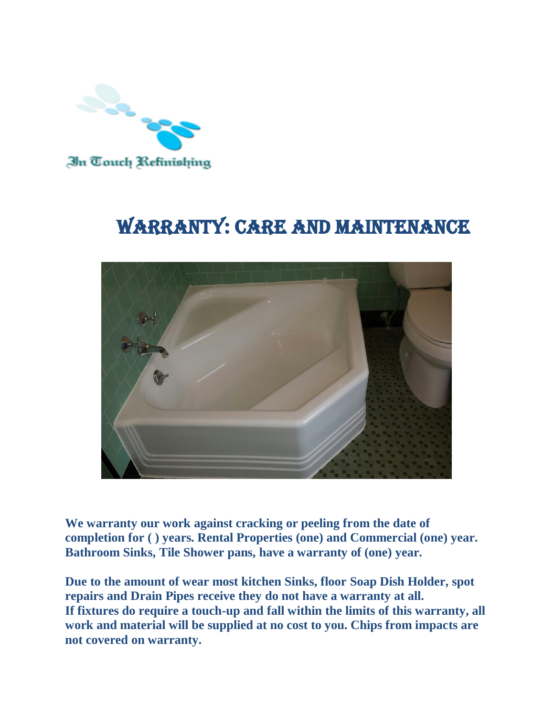

## WARRANTY: CARE AND MAINTENANCE



**We warranty our work against cracking or peeling from the date of completion for ( ) years. Rental Properties (one) and Commercial (one) year. Bathroom Sinks, Tile Shower pans, have a warranty of (one) year.** 

**Due to the amount of wear most kitchen Sinks, floor Soap Dish Holder, spot repairs and Drain Pipes receive they do not have a warranty at all. If fixtures do require a touch-up and fall within the limits of this warranty, all work and material will be supplied at no cost to you. Chips from impacts are not covered on warranty.**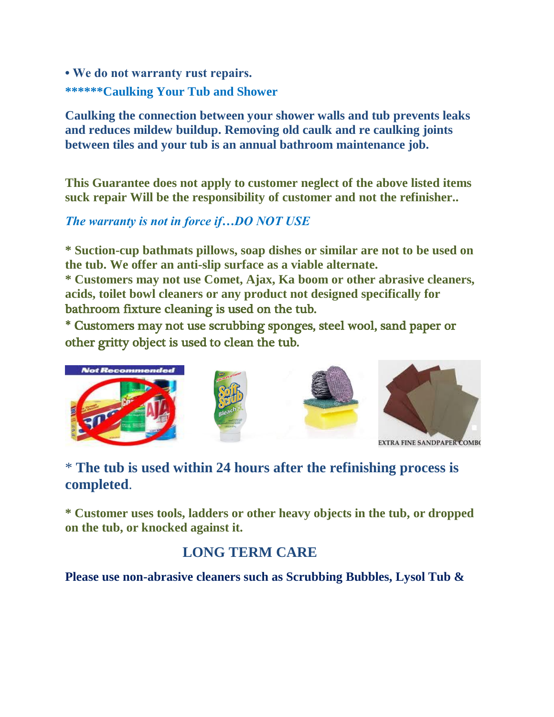**• We do not warranty rust repairs. \*\*\*\*\*\*Caulking Your Tub and Shower**

**Caulking the connection between your shower walls and tub prevents leaks and reduces mildew buildup. Removing old caulk and re caulking joints between tiles and your tub is an annual bathroom maintenance job.**

**This Guarantee does not apply to customer neglect of the above listed items suck repair Will be the responsibility of customer and not the refinisher..**

## *The warranty is not in force if…DO NOT USE*

**\* Suction-cup bathmats pillows, soap dishes or similar are not to be used on the tub. We offer an anti-slip surface as a viable alternate.**

**\* Customers may not use Comet, Ajax, Ka boom or other abrasive cleaners, acids, toilet bowl cleaners or any product not designed specifically for**  bathroom fixture cleaning is used on the tub.

\* Customers may not use scrubbing sponges, steel wool, sand paper or other gritty object is used to clean the tub.



## \* **The tub is used within 24 hours after the refinishing process is completed**.

**\* Customer uses tools, ladders or other heavy objects in the tub, or dropped on the tub, or knocked against it.**

## **LONG TERM CARE**

**Please use non-abrasive cleaners such as Scrubbing Bubbles, Lysol Tub &**